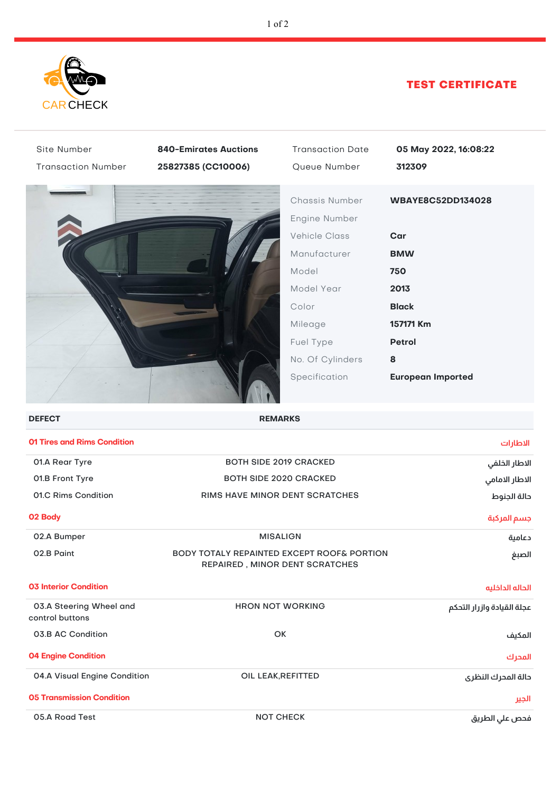

## TEST CERTIFICATE

| Site Number                                | <b>840-Emirates Auctions</b>                                                 | <b>Transaction Date</b>         | 05 May 2022, 16:08:22           |
|--------------------------------------------|------------------------------------------------------------------------------|---------------------------------|---------------------------------|
| <b>Transaction Number</b>                  | 25827385 (CC10006)                                                           | Queue Number                    | 312309                          |
|                                            |                                                                              | Chassis Number<br>Engine Number | WBAYE8C52DD134028               |
|                                            |                                                                              | <b>Vehicle Class</b>            | Car                             |
|                                            |                                                                              | Manufacturer                    | <b>BMW</b>                      |
|                                            |                                                                              | Model                           | 750                             |
|                                            |                                                                              | Model Year                      | 2013                            |
|                                            |                                                                              | Color                           | <b>Black</b>                    |
|                                            |                                                                              | Mileage                         | 157171 Km                       |
|                                            |                                                                              | Fuel Type                       | <b>Petrol</b>                   |
|                                            |                                                                              | No. Of Cylinders                | 8                               |
|                                            |                                                                              | Specification                   | <b>European Imported</b>        |
| <b>DEFECT</b>                              | <b>REMARKS</b>                                                               |                                 |                                 |
| <b>01 Tires and Rims Condition</b>         |                                                                              |                                 | الاطارات                        |
| 01.A Rear Tyre                             |                                                                              | <b>BOTH SIDE 2019 CRACKED</b>   |                                 |
| 01.B Front Tyre                            | <b>BOTH SIDE 2020 CRACKED</b>                                                |                                 | الاطار الخلفي<br>الاطار الامامي |
| 01.C Rims Condition                        | RIMS HAVE MINOR DENT SCRATCHES                                               |                                 | حالة الجنوط                     |
| 02 Body                                    |                                                                              |                                 | جسم المركبة                     |
| 02.A Bumper                                | <b>MISALIGN</b>                                                              |                                 | دعامية                          |
| 02.B Paint                                 | BODY TOTALY REPAINTED EXCEPT ROOF& PORTION<br>REPAIRED, MINOR DENT SCRATCHES |                                 | الصبغ                           |
| <b>03 Interior Condition</b>               |                                                                              |                                 | الحاله الداخليه                 |
| 03.A Steering Wheel and<br>control buttons | <b>HRON NOT WORKING</b>                                                      |                                 | عجلة القيادة وازرار التحكم      |
| 03.B AC Condition                          | OK                                                                           |                                 | المكيف                          |
| <b>04 Engine Condition</b>                 |                                                                              |                                 | المحرك                          |
| 04.A Visual Engine Condition               | OIL LEAK, REFITTED                                                           |                                 | دالة المدرك النظرى              |
| <b>05 Transmission Condition</b>           |                                                                              |                                 | الجير                           |
| 05.A Road Test                             | <b>NOT CHECK</b>                                                             |                                 | فحص على الطريق                  |